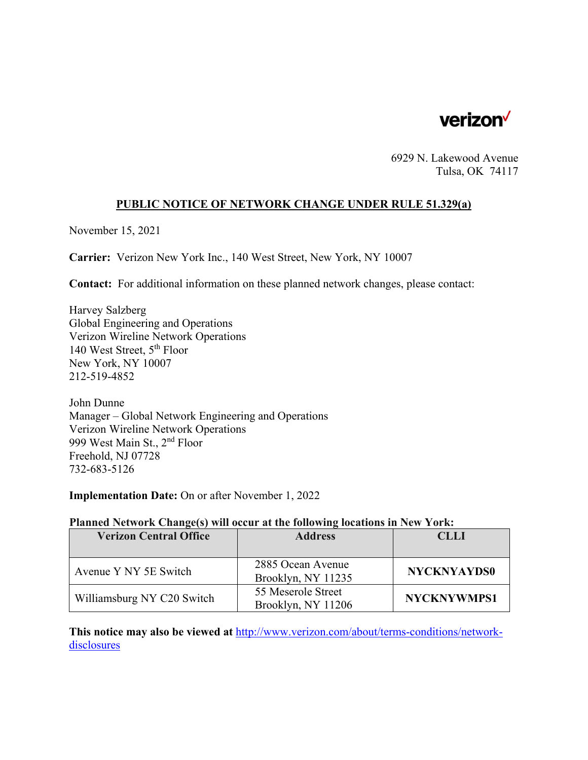

6929 N. Lakewood Avenue Tulsa, OK 74117

### **PUBLIC NOTICE OF NETWORK CHANGE UNDER RULE 51.329(a)**

November 15, 2021

**Carrier:** Verizon New York Inc., 140 West Street, New York, NY 10007

**Contact:** For additional information on these planned network changes, please contact:

Harvey Salzberg Global Engineering and Operations Verizon Wireline Network Operations 140 West Street, 5th Floor New York, NY 10007 212-519-4852

John Dunne Manager – Global Network Engineering and Operations Verizon Wireline Network Operations 999 West Main St., 2nd Floor Freehold, NJ 07728 732-683-5126

**Implementation Date:** On or after November 1, 2022

#### **Planned Network Change(s) will occur at the following locations in New York:**

| <b>Verizon Central Office</b> | <b>Address</b>                           | <b>CLLI</b>        |
|-------------------------------|------------------------------------------|--------------------|
|                               |                                          |                    |
| Avenue Y NY 5E Switch         | 2885 Ocean Avenue<br>Brooklyn, NY 11235  | <b>NYCKNYAYDS0</b> |
| Williamsburg NY C20 Switch    | 55 Meserole Street<br>Brooklyn, NY 11206 | <b>NYCKNYWMPS1</b> |

**This notice may also be viewed at** http://www.verizon.com/about/terms-conditions/networkdisclosures